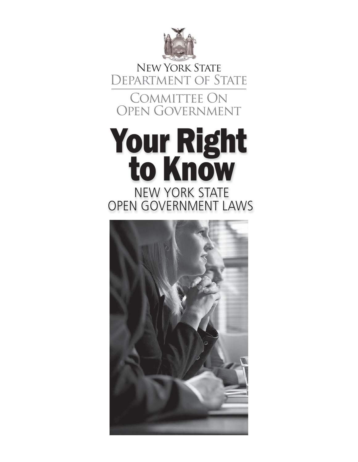

NEW YORK STATE DEPARTMENT OF STATE

COMMITTEE ON Open Government

# Your Right to Know NEW YORK STATE OPEN GOVERNMENT LAWS

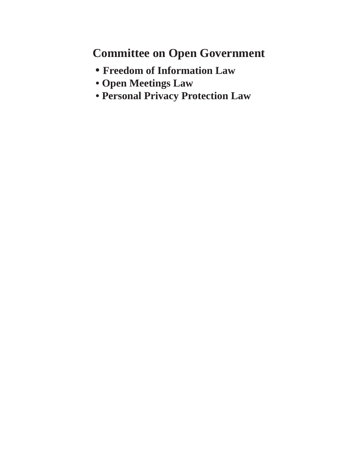## **Committee on Open Government**

- **Freedom of Information Law**
- **Open Meetings Law**
- **Personal Privacy Protection Law**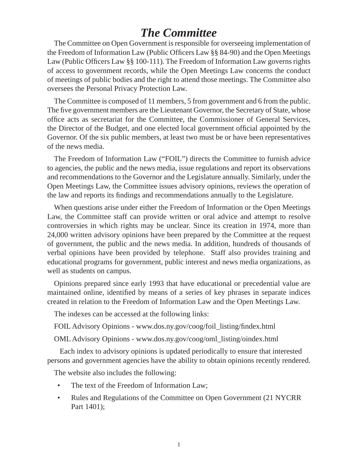### *The Committee*

The Committee on Open Government is responsible for overseeing implementation of the Freedom of Information Law (Public Officers Law  $\S$ § 84-90) and the Open Meetings Law (Public Officers Law  $\S$ § 100-111). The Freedom of Information Law governs rights of access to government records, while the Open Meetings Law concerns the conduct of meetings of public bodies and the right to attend those meetings. The Committee also oversees the Personal Privacy Protection Law.

The Committee is composed of 11 members, 5 from government and 6 from the public. The five government members are the Lieutenant Governor, the Secretary of State, whose office acts as secretariat for the Committee, the Commissioner of General Services, the Director of the Budget, and one elected local government official appointed by the Governor. Of the six public members, at least two must be or have been representatives of the news media.

The Freedom of Information Law ("FOIL") directs the Committee to furnish advice to agencies, the public and the news media, issue regulations and report its observations and recommendations to the Governor and the Legislature annually. Similarly, under the Open Meetings Law, the Committee issues advisory opinions, reviews the operation of the law and reports its findings and recommendations annually to the Legislature.

When questions arise under either the Freedom of Information or the Open Meetings Law, the Committee staff can provide written or oral advice and attempt to resolve controversies in which rights may be unclear. Since its creation in 1974, more than 24,000 written advisory opinions have been prepared by the Committee at the request of government, the public and the news media. In addition, hundreds of thousands of verbal opinions have been provided by telephone. Staff also provides training and educational programs for government, public interest and news media organizations, as well as students on campus.

Opinions prepared since early 1993 that have educational or precedential value are maintained online, identified by means of a series of key phrases in separate indices created in relation to the Freedom of Information Law and the Open Meetings Law.

The indexes can be accessed at the following links:

FOIL Advisory Opinions - www.dos.ny.gov/coog/foil\_listing/findex.html

OML Advisory Opinions - www.dos.ny.gov/coog/oml\_listing/oindex.html

 Each index to advisory opinions is updated periodically to ensure that interested persons and government agencies have the ability to obtain opinions recently rendered.

The website also includes the following:

- The text of the Freedom of Information Law;
- Rules and Regulations of the Committee on Open Government (21 NYCRR) Part 1401);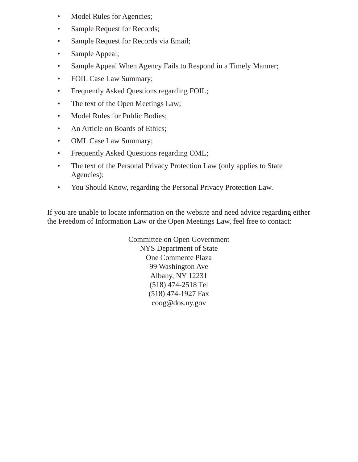- Model Rules for Agencies;
- Sample Request for Records;
- Sample Request for Records via Email;
- Sample Appeal;
- Sample Appeal When Agency Fails to Respond in a Timely Manner;
- FOIL Case Law Summary;
- Frequently Asked Questions regarding FOIL;
- The text of the Open Meetings Law;
- Model Rules for Public Bodies;
- An Article on Boards of Ethics;
- OML Case Law Summary;
- Frequently Asked Questions regarding OML;
- The text of the Personal Privacy Protection Law (only applies to State Agencies);
- You Should Know, regarding the Personal Privacy Protection Law.

If you are unable to locate information on the website and need advice regarding either the Freedom of Information Law or the Open Meetings Law, feel free to contact:

> Committee on Open Government NYS Department of State One Commerce Plaza 99 Washington Ave Albany, NY 12231 (518) 474-2518 Tel (518) 474-1927 Fax coog@dos.ny.gov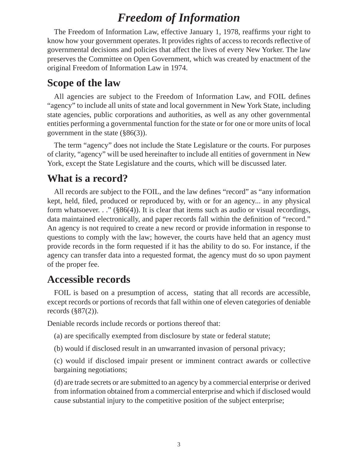### *Freedom of Information*

The Freedom of Information Law, effective January 1, 1978, reaffirms your right to know how your government operates. It provides rights of access to records reflective of governmental decisions and policies that affect the lives of every New Yorker. The law preserves the Committee on Open Government, which was created by enactment of the original Freedom of Information Law in 1974.

### **Scope of the law**

All agencies are subject to the Freedom of Information Law, and FOIL defines "agency" to include all units of state and local government in New York State, including state agencies, public corporations and authorities, as well as any other governmental entities performing a governmental function for the state or for one or more units of local government in the state (§86(3)).

The term "agency" does not include the State Legislature or the courts. For purposes of clarity, "agency" will be used hereinafter to include all entities of government in New York, except the State Legislature and the courts, which will be discussed later.

### **What is a record?**

All records are subject to the FOIL, and the law defines "record" as "any information kept, held, filed, produced or reproduced by, with or for an agency... in any physical form whatsoever. . ." ( $\S 86(4)$ ). It is clear that items such as audio or visual recordings, data maintained electronically, and paper records fall within the definition of "record." An agency is not required to create a new record or provide information in response to questions to comply with the law; however, the courts have held that an agency must provide records in the form requested if it has the ability to do so. For instance, if the agency can transfer data into a requested format, the agency must do so upon payment of the proper fee.

### **Accessible records**

FOIL is based on a presumption of access, stating that all records are accessible, except records or portions of records that fall within one of eleven categories of deniable records (§87(2)).

Deniable records include records or portions thereof that:

- (a) are specifically exempted from disclosure by state or federal statute;
- (b) would if disclosed result in an unwarranted invasion of personal privacy;

(c) would if disclosed impair present or imminent contract awards or collective bargaining negotiations;

(d) are trade secrets or are submitted to an agency by a commercial enterprise or derived from information obtained from a commercial enterprise and which if disclosed would cause substantial injury to the competitive position of the subject enterprise;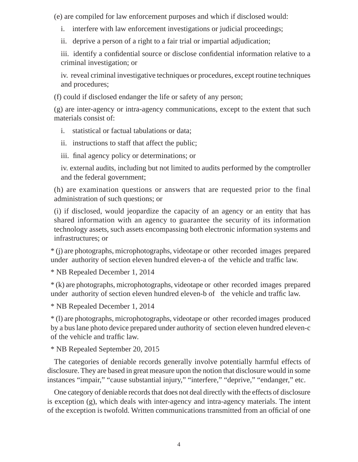(e) are compiled for law enforcement purposes and which if disclosed would:

- i. interfere with law enforcement investigations or judicial proceedings;
- ii. deprive a person of a right to a fair trial or impartial adjudication;

iii. identify a confidential source or disclose confidential information relative to a criminal investigation; or

iv. reveal criminal investigative techniques or procedures, except routine techniques and procedures;

(f) could if disclosed endanger the life or safety of any person;

(g) are inter-agency or intra-agency communications, except to the extent that such materials consist of:

i. statistical or factual tabulations or data;

- ii. instructions to staff that affect the public;
- iii. final agency policy or determinations; or

iv. external audits, including but not limited to audits performed by the comptroller and the federal government;

(h) are examination questions or answers that are requested prior to the final administration of such questions; or

(i) if disclosed, would jeopardize the capacity of an agency or an entity that has shared information with an agency to guarantee the security of its information technology assets, such assets encompassing both electronic information systems and infrastructures; or

\* (j) are photographs, microphotographs, videotape or other recorded images prepared under authority of section eleven hundred eleven-a of the vehicle and traffic law.

\* NB Repealed December 1, 2014

\* (k) are photographs, microphotographs, videotape or other recorded images prepared under authority of section eleven hundred eleven-b of the vehicle and traffic law.

\* NB Repealed December 1, 2014

\* (l) are photographs, microphotographs, videotape or other recorded images produced by a bus lane photo device prepared under authority of section eleven hundred eleven-c of the vehicle and traffic law.

\* NB Repealed September 20, 2015

The categories of deniable records generally involve potentially harmful effects of disclosure. They are based in great measure upon the notion that disclosure would in some instances "impair," "cause substantial injury," "interfere," "deprive," "endanger," etc.

One category of deniable records that does not deal directly with the effects of disclosure is exception (g), which deals with inter-agency and intra-agency materials. The intent of the exception is twofold. Written communications transmitted from an official of one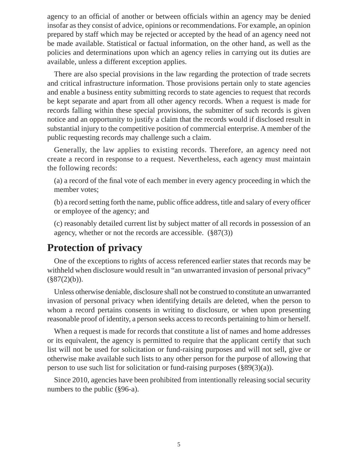agency to an official of another or between officials within an agency may be denied insofar as they consist of advice, opinions or recommendations. For example, an opinion prepared by staff which may be rejected or accepted by the head of an agency need not be made available. Statistical or factual information, on the other hand, as well as the policies and determinations upon which an agency relies in carrying out its duties are available, unless a different exception applies.

There are also special provisions in the law regarding the protection of trade secrets and critical infrastructure information. Those provisions pertain only to state agencies and enable a business entity submitting records to state agencies to request that records be kept separate and apart from all other agency records. When a request is made for records falling within these special provisions, the submitter of such records is given notice and an opportunity to justify a claim that the records would if disclosed result in substantial injury to the competitive position of commercial enterprise. A member of the public requesting records may challenge such a claim.

Generally, the law applies to existing records. Therefore, an agency need not create a record in response to a request. Nevertheless, each agency must maintain the following records:

(a) a record of the final vote of each member in every agency proceeding in which the member votes;

(b) a record setting forth the name, public office address, title and salary of every officer or employee of the agency; and

(c) reasonably detailed current list by subject matter of all records in possession of an agency, whether or not the records are accessible. (§87(3))

### **Protection of privacy**

One of the exceptions to rights of access referenced earlier states that records may be withheld when disclosure would result in "an unwarranted invasion of personal privacy"  $(\$87(2)(b)).$ 

Unless otherwise deniable, disclosure shall not be construed to constitute an unwarranted invasion of personal privacy when identifying details are deleted, when the person to whom a record pertains consents in writing to disclosure, or when upon presenting reasonable proof of identity, a person seeks access to records pertaining to him or herself.

When a request is made for records that constitute a list of names and home addresses or its equivalent, the agency is permitted to require that the applicant certify that such list will not be used for solicitation or fund-raising purposes and will not sell, give or otherwise make available such lists to any other person for the purpose of allowing that person to use such list for solicitation or fund-raising purposes (§89(3)(a)).

Since 2010, agencies have been prohibited from intentionally releasing social security numbers to the public (§96-a).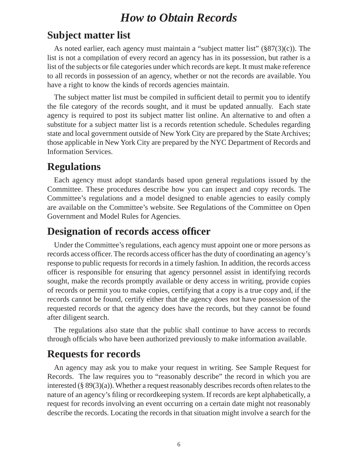### *How to Obtain Records*

### **Subject matter list**

As noted earlier, each agency must maintain a "subject matter list" (§87(3)(c)). The list is not a compilation of every record an agency has in its possession, but rather is a list of the subjects or file categories under which records are kept. It must make reference to all records in possession of an agency, whether or not the records are available. You have a right to know the kinds of records agencies maintain.

The subject matter list must be compiled in sufficient detail to permit you to identify the file category of the records sought, and it must be updated annually. Each state agency is required to post its subject matter list online. An alternative to and often a substitute for a subject matter list is a records retention schedule. Schedules regarding state and local government outside of New York City are prepared by the State Archives; those applicable in New York City are prepared by the NYC Department of Records and Information Services.

### **Regulations**

Each agency must adopt standards based upon general regulations issued by the Committee. These procedures describe how you can inspect and copy records. The Committee's regulations and a model designed to enable agencies to easily comply are available on the Committee's website. See Regulations of the Committee on Open Government and Model Rules for Agencies.

### **Designation of records access offi cer**

Under the Committee's regulations, each agency must appoint one or more persons as records access officer. The records access officer has the duty of coordinating an agency's response to public requests for records in a timely fashion. In addition, the records access officer is responsible for ensuring that agency personnel assist in identifying records sought, make the records promptly available or deny access in writing, provide copies of records or permit you to make copies, certifying that a copy is a true copy and, if the records cannot be found, certify either that the agency does not have possession of the requested records or that the agency does have the records, but they cannot be found after diligent search.

The regulations also state that the public shall continue to have access to records through officials who have been authorized previously to make information available.

### **Requests for records**

An agency may ask you to make your request in writing. See Sample Request for Records. The law requires you to "reasonably describe" the record in which you are interested (§ 89(3)(a)). Whether a request reasonably describes records often relates to the nature of an agency's filing or record keeping system. If records are kept alphabetically, a request for records involving an event occurring on a certain date might not reasonably describe the records. Locating the records in that situation might involve a search for the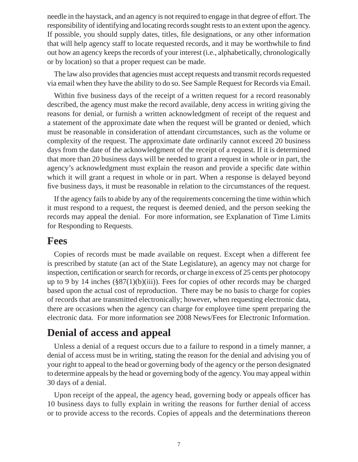needle in the haystack, and an agency is not required to engage in that degree of effort. The responsibility of identifying and locating records sought rests to an extent upon the agency. If possible, you should supply dates, titles, file designations, or any other information that will help agency staff to locate requested records, and it may be worthwhile to find out how an agency keeps the records of your interest (i.e., alphabetically, chronologically or by location) so that a proper request can be made.

The law also provides that agencies must accept requests and transmit records requested via email when they have the ability to do so. See Sample Request for Records via Email.

Within five business days of the receipt of a written request for a record reasonably described, the agency must make the record available, deny access in writing giving the reasons for denial, or furnish a written acknowledgment of receipt of the request and a statement of the approximate date when the request will be granted or denied, which must be reasonable in consideration of attendant circumstances, such as the volume or complexity of the request. The approximate date ordinarily cannot exceed 20 business days from the date of the acknowledgment of the receipt of a request. If it is determined that more than 20 business days will be needed to grant a request in whole or in part, the agency's acknowledgment must explain the reason and provide a specific date within which it will grant a request in whole or in part. When a response is delayed beyond five business days, it must be reasonable in relation to the circumstances of the request.

If the agency fails to abide by any of the requirements concerning the time within which it must respond to a request, the request is deemed denied, and the person seeking the records may appeal the denial. For more information, see Explanation of Time Limits for Responding to Requests.

### **Fees**

Copies of records must be made available on request. Except when a different fee is prescribed by statute (an act of the State Legislature), an agency may not charge for inspection, certification or search for records, or charge in excess of 25 cents per photocopy up to 9 by 14 inches (§87(1)(b)(iii)). Fees for copies of other records may be charged based upon the actual cost of reproduction. There may be no basis to charge for copies of records that are transmitted electronically; however, when requesting electronic data, there are occasions when the agency can charge for employee time spent preparing the electronic data. For more information see 2008 News/Fees for Electronic Information.

### **Denial of access and appeal**

Unless a denial of a request occurs due to a failure to respond in a timely manner, a denial of access must be in writing, stating the reason for the denial and advising you of your right to appeal to the head or governing body of the agency or the person designated to determine appeals by the head or governing body of the agency. You may appeal within 30 days of a denial.

Upon receipt of the appeal, the agency head, governing body or appeals officer has 10 business days to fully explain in writing the reasons for further denial of access or to provide access to the records. Copies of appeals and the determinations thereon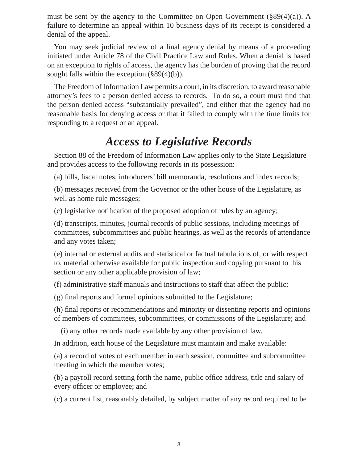must be sent by the agency to the Committee on Open Government  $(\S 89(4)(a))$ . A failure to determine an appeal within 10 business days of its receipt is considered a denial of the appeal.

You may seek judicial review of a final agency denial by means of a proceeding initiated under Article 78 of the Civil Practice Law and Rules. When a denial is based on an exception to rights of access, the agency has the burden of proving that the record sought falls within the exception (§89(4)(b)).

The Freedom of Information Law permits a court, in its discretion, to award reasonable attorney's fees to a person denied access to records. To do so, a court must find that the person denied access "substantially prevailed", and either that the agency had no reasonable basis for denying access or that it failed to comply with the time limits for responding to a request or an appeal.

### *Access to Legislative Records*

Section 88 of the Freedom of Information Law applies only to the State Legislature and provides access to the following records in its possession:

(a) bills, fiscal notes, introducers' bill memoranda, resolutions and index records;

(b) messages received from the Governor or the other house of the Legislature, as well as home rule messages;

(c) legislative notification of the proposed adoption of rules by an agency;

(d) transcripts, minutes, journal records of public sessions, including meetings of committees, subcommittees and public hearings, as well as the records of attendance and any votes taken;

(e) internal or external audits and statistical or factual tabulations of, or with respect to, material otherwise available for public inspection and copying pursuant to this section or any other applicable provision of law;

(f) administrative staff manuals and instructions to staff that affect the public;

 $(g)$  final reports and formal opinions submitted to the Legislature;

(h) final reports or recommendations and minority or dissenting reports and opinions of members of committees, subcommittees, or commissions of the Legislature; and

(i) any other records made available by any other provision of law.

In addition, each house of the Legislature must maintain and make available:

(a) a record of votes of each member in each session, committee and subcommittee meeting in which the member votes;

(b) a payroll record setting forth the name, public office address, title and salary of every officer or employee; and

(c) a current list, reasonably detailed, by subject matter of any record required to be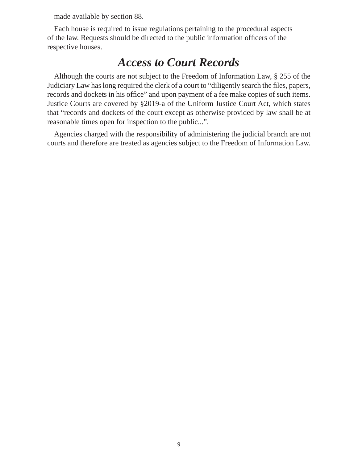made available by section 88.

Each house is required to issue regulations pertaining to the procedural aspects of the law. Requests should be directed to the public information officers of the respective houses.

### *Access to Court Records*

Although the courts are not subject to the Freedom of Information Law, § 255 of the Judiciary Law has long required the clerk of a court to "diligently search the files, papers, records and dockets in his office" and upon payment of a fee make copies of such items. Justice Courts are covered by §2019-a of the Uniform Justice Court Act, which states that "records and dockets of the court except as otherwise provided by law shall be at reasonable times open for inspection to the public...".

Agencies charged with the responsibility of administering the judicial branch are not courts and therefore are treated as agencies subject to the Freedom of Information Law.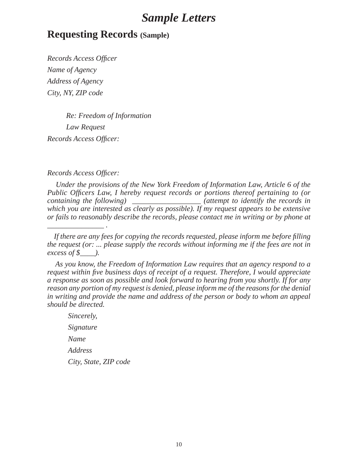### *Sample Letters*

### **Requesting Records (Sample)**

*Records Access Offi cer Name of Agency Address of Agency City, NY, ZIP code*

 *Re: Freedom of Information Law Request Records Access Offi cer:*

#### *Records Access Offi cer:*

*\_\_\_\_\_\_\_\_\_\_\_\_\_\_\_ .*

 *Under the provisions of the New York Freedom of Information Law, Article 6 of the Public Offi cers Law, I hereby request records or portions thereof pertaining to (or containing the following*  $\qquad \qquad$  (attempt to *identify the records in which you are interested as clearly as possible). If my request appears to be extensive or fails to reasonably describe the records, please contact me in writing or by phone at* 

 *As you know, the Freedom of Information Law requires that an agency respond to a request within five business days of receipt of a request. Therefore, I would appreciate a response as soon as possible and look forward to hearing from you shortly. If for any reason any portion of my request is denied, please inform me of the reasons for the denial in writing and provide the name and address of the person or body to whom an appeal should be directed.*

 *Sincerely, Signature Name Address City, State, ZIP code* 

If there are any fees for copying the records requested, please inform me before filling *the request (or: ... please supply the records without informing me if the fees are not in excess of \$\_\_\_\_).*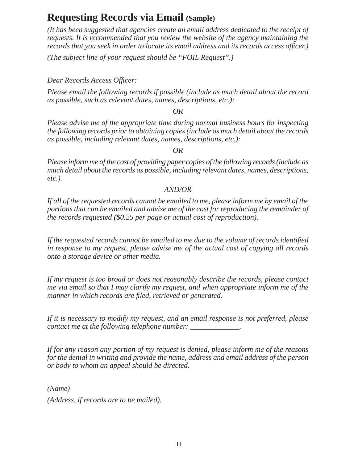### **Requesting Records via Email (Sample)**

*(It has been suggested that agencies create an email address dedicated to the receipt of requests. It is recommended that you review the website of the agency maintaining the records that you seek in order to locate its email address and its records access officer.)* 

*(The subject line of your request should be "FOIL Request".)*

*Dear Records Access Officer:* 

*Please email the following records if possible (include as much detail about the record as possible, such as relevant dates, names, descriptions, etc.):* 

*OR*

*Please advise me of the appropriate time during normal business hours for inspecting the following records prior to obtaining copies (include as much detail about the records as possible, including relevant dates, names, descriptions, etc.):* 

*OR*

*Please inform me of the cost of providing paper copies of the following records (include as much detail about the records as possible, including relevant dates, names, descriptions, etc.).* 

#### *AND/OR*

*If all of the requested records cannot be emailed to me, please inform me by email of the portions that can be emailed and advise me of the cost for reproducing the remainder of the records requested (\$0.25 per page or actual cost of reproduction).*

If the requested records cannot be emailed to me due to the volume of records identified *in response to my request, please advise me of the actual cost of copying all records onto a storage device or other media.*

*If my request is too broad or does not reasonably describe the records, please contact me via email so that I may clarify my request, and when appropriate inform me of the manner in which records are filed, retrieved or generated.* 

*If it is necessary to modify my request, and an email response is not preferred, please contact me at the following telephone number:* 

*If for any reason any portion of my request is denied, please inform me of the reasons for the denial in writing and provide the name, address and email address of the person or body to whom an appeal should be directed.*

*(Name)*

*(Address, if records are to be mailed).*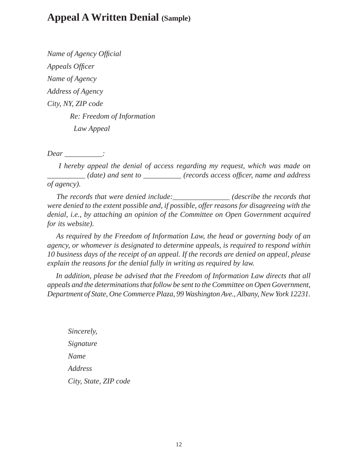### **Appeal A Written Denial (Sample)**

*Name of Agency Offi cial Appeals Offi cer Name of Agency Address of Agency City, NY, ZIP code Re: Freedom of Information Law Appeal*

*Dear \_\_\_\_\_\_\_\_\_\_:*

 *I hereby appeal the denial of access regarding my request, which was made on \_\_\_\_\_\_* (date) and sent to \_\_\_\_\_\_\_\_\_\_\_\_ (records access officer, name and address *of agency).* 

 *The records that were denied include:\_\_\_\_\_\_\_\_\_\_\_\_\_\_\_ (describe the records that were denied to the extent possible and, if possible, offer reasons for disagreeing with the denial, i.e., by attaching an opinion of the Committee on Open Government acquired for its website).* 

 *As required by the Freedom of Information Law, the head or governing body of an agency, or whomever is designated to determine appeals, is required to respond within 10 business days of the receipt of an appeal. If the records are denied on appeal, please explain the reasons for the denial fully in writing as required by law.* 

 *In addition, please be advised that the Freedom of Information Law directs that all appeals and the determinations that follow be sent to the Committee on Open Government, Department of State, One Commerce Plaza, 99 Washington Ave., Albany, New York 12231.*

 *Sincerely, Signature Name Address City, State, ZIP code*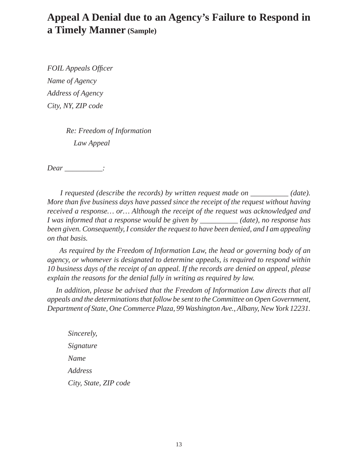### **Appeal A Denial due to an Agency's Failure to Respond in a Timely Manner (Sample)**

*FOIL Appeals Offi cer Name of Agency Address of Agency City, NY, ZIP code*

> *Re: Freedom of Information Law Appeal*

*Dear \_\_\_\_\_\_\_\_\_\_:*

*I requested (describe the records) by written request made on \_\_\_\_\_\_\_\_\_ (date). More than five business days have passed since the receipt of the request without having received a response… or… Although the receipt of the request was acknowledged and I was informed that a response would be given by \_\_\_\_\_\_\_\_\_\_ (date), no response has been given. Consequently, I consider the request to have been denied, and I am appealing on that basis.*

 *As required by the Freedom of Information Law, the head or governing body of an agency, or whomever is designated to determine appeals, is required to respond within 10 business days of the receipt of an appeal. If the records are denied on appeal, please explain the reasons for the denial fully in writing as required by law.* 

 *In addition, please be advised that the Freedom of Information Law directs that all appeals and the determinations that follow be sent to the Committee on Open Government, Department of State, One Commerce Plaza, 99 Washington Ave., Albany, New York 12231.*

 *Sincerely, Signature Name Address City, State, ZIP code*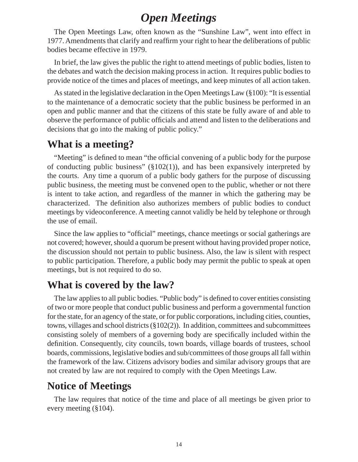### *Open Meetings*

The Open Meetings Law, often known as the "Sunshine Law", went into effect in 1977. Amendments that clarify and reaffirm your right to hear the deliberations of public bodies became effective in 1979.

In brief, the law gives the public the right to attend meetings of public bodies, listen to the debates and watch the decision making process in action. It requires public bodies to provide notice of the times and places of meetings, and keep minutes of all action taken.

As stated in the legislative declaration in the Open Meetings Law (§100): "It is essential to the maintenance of a democratic society that the public business be performed in an open and public manner and that the citizens of this state be fully aware of and able to observe the performance of public officials and attend and listen to the deliberations and decisions that go into the making of public policy."

### **What is a meeting?**

"Meeting" is defined to mean "the official convening of a public body for the purpose of conducting public business"  $(\S102(1))$ , and has been expansively interpreted by the courts. Any time a quorum of a public body gathers for the purpose of discussing public business, the meeting must be convened open to the public, whether or not there is intent to take action, and regardless of the manner in which the gathering may be characterized. The definition also authorizes members of public bodies to conduct meetings by videoconference. A meeting cannot validly be held by telephone or through the use of email.

Since the law applies to "official" meetings, chance meetings or social gatherings are not covered; however, should a quorum be present without having provided proper notice, the discussion should not pertain to public business. Also, the law is silent with respect to public participation. Therefore, a public body may permit the public to speak at open meetings, but is not required to do so.

### **What is covered by the law?**

The law applies to all public bodies. "Public body" is defined to cover entities consisting of two or more people that conduct public business and perform a governmental function for the state, for an agency of the state, or for public corporations, including cities, counties, towns, villages and school districts (§102(2)). In addition, committees and subcommittees consisting solely of members of a governing body are specifically included within the definition. Consequently, city councils, town boards, village boards of trustees, school boards, commissions, legislative bodies and sub/committees of those groups all fall within the framework of the law. Citizens advisory bodies and similar advisory groups that are not created by law are not required to comply with the Open Meetings Law.

### **Notice of Meetings**

The law requires that notice of the time and place of all meetings be given prior to every meeting (§104).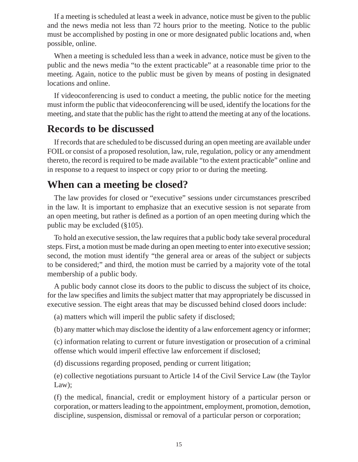If a meeting is scheduled at least a week in advance, notice must be given to the public and the news media not less than 72 hours prior to the meeting. Notice to the public must be accomplished by posting in one or more designated public locations and, when possible, online.

When a meeting is scheduled less than a week in advance, notice must be given to the public and the news media "to the extent practicable" at a reasonable time prior to the meeting. Again, notice to the public must be given by means of posting in designated locations and online.

If videoconferencing is used to conduct a meeting, the public notice for the meeting must inform the public that videoconferencing will be used, identify the locations for the meeting, and state that the public has the right to attend the meeting at any of the locations.

### **Records to be discussed**

If records that are scheduled to be discussed during an open meeting are available under FOIL or consist of a proposed resolution, law, rule, regulation, policy or any amendment thereto, the record is required to be made available "to the extent practicable" online and in response to a request to inspect or copy prior to or during the meeting.

### **When can a meeting be closed?**

The law provides for closed or "executive" sessions under circumstances prescribed in the law. It is important to emphasize that an executive session is not separate from an open meeting, but rather is defined as a portion of an open meeting during which the public may be excluded (§105).

To hold an executive session, the law requires that a public body take several procedural steps. First, a motion must be made during an open meeting to enter into executive session; second, the motion must identify "the general area or areas of the subject or subjects to be considered;" and third, the motion must be carried by a majority vote of the total membership of a public body.

A public body cannot close its doors to the public to discuss the subject of its choice, for the law specifies and limits the subject matter that may appropriately be discussed in executive session. The eight areas that may be discussed behind closed doors include:

(a) matters which will imperil the public safety if disclosed;

(b) any matter which may disclose the identity of a law enforcement agency or informer;

(c) information relating to current or future investigation or prosecution of a criminal offense which would imperil effective law enforcement if disclosed;

(d) discussions regarding proposed, pending or current litigation;

(e) collective negotiations pursuant to Article 14 of the Civil Service Law (the Taylor Law);

(f) the medical, financial, credit or employment history of a particular person or corporation, or matters leading to the appointment, employment, promotion, demotion, discipline, suspension, dismissal or removal of a particular person or corporation;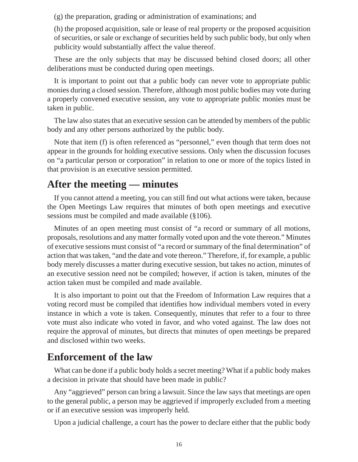(g) the preparation, grading or administration of examinations; and

(h) the proposed acquisition, sale or lease of real property or the proposed acquisition of securities, or sale or exchange of securities held by such public body, but only when publicity would substantially affect the value thereof.

These are the only subjects that may be discussed behind closed doors; all other deliberations must be conducted during open meetings.

It is important to point out that a public body can never vote to appropriate public monies during a closed session. Therefore, although most public bodies may vote during a properly convened executive session, any vote to appropriate public monies must be taken in public.

The law also states that an executive session can be attended by members of the public body and any other persons authorized by the public body.

Note that item (f) is often referenced as "personnel," even though that term does not appear in the grounds for holding executive sessions. Only when the discussion focuses on "a particular person or corporation" in relation to one or more of the topics listed in that provision is an executive session permitted.

### **After the meeting — minutes**

If you cannot attend a meeting, you can still find out what actions were taken, because the Open Meetings Law requires that minutes of both open meetings and executive sessions must be compiled and made available (§106).

Minutes of an open meeting must consist of "a record or summary of all motions, proposals, resolutions and any matter formally voted upon and the vote thereon." Minutes of executive sessions must consist of "a record or summary of the final determination" of action that was taken, "and the date and vote thereon." Therefore, if, for example, a public body merely discusses a matter during executive session, but takes no action, minutes of an executive session need not be compiled; however, if action is taken, minutes of the action taken must be compiled and made available.

It is also important to point out that the Freedom of Information Law requires that a voting record must be compiled that identifies how individual members voted in every instance in which a vote is taken. Consequently, minutes that refer to a four to three vote must also indicate who voted in favor, and who voted against. The law does not require the approval of minutes, but directs that minutes of open meetings be prepared and disclosed within two weeks.

### **Enforcement of the law**

What can be done if a public body holds a secret meeting? What if a public body makes a decision in private that should have been made in public?

Any "aggrieved" person can bring a lawsuit. Since the law says that meetings are open to the general public, a person may be aggrieved if improperly excluded from a meeting or if an executive session was improperly held.

Upon a judicial challenge, a court has the power to declare either that the public body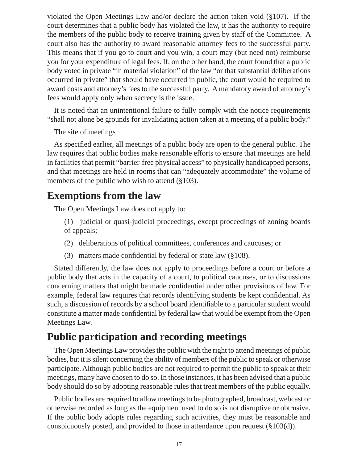violated the Open Meetings Law and/or declare the action taken void (§107). If the court determines that a public body has violated the law, it has the authority to require the members of the public body to receive training given by staff of the Committee. A court also has the authority to award reasonable attorney fees to the successful party. This means that if you go to court and you win, a court may (but need not) reimburse you for your expenditure of legal fees. If, on the other hand, the court found that a public body voted in private "in material violation" of the law "or that substantial deliberations occurred in private" that should have occurred in public, the court would be required to award costs and attorney's fees to the successful party. A mandatory award of attorney's fees would apply only when secrecy is the issue.

It is noted that an unintentional failure to fully comply with the notice requirements "shall not alone be grounds for invalidating action taken at a meeting of a public body."

The site of meetings

As specified earlier, all meetings of a public body are open to the general public. The law requires that public bodies make reasonable efforts to ensure that meetings are held in facilities that permit "barrier-free physical access" to physically handicapped persons, and that meetings are held in rooms that can "adequately accommodate" the volume of members of the public who wish to attend (§103).

### **Exemptions from the law**

The Open Meetings Law does not apply to:

(1) judicial or quasi-judicial proceedings, except proceedings of zoning boards of appeals;

- (2) deliberations of political committees, conferences and caucuses; or
- (3) matters made confidential by federal or state law  $(\S108)$ .

Stated differently, the law does not apply to proceedings before a court or before a public body that acts in the capacity of a court, to political caucuses, or to discussions concerning matters that might be made confidential under other provisions of law. For example, federal law requires that records identifying students be kept confidential. As such, a discussion of records by a school board identifiable to a particular student would constitute a matter made confidential by federal law that would be exempt from the Open Meetings Law.

### **Public participation and recording meetings**

The Open Meetings Law provides the public with the right to attend meetings of public bodies, but it is silent concerning the ability of members of the public to speak or otherwise participate. Although public bodies are not required to permit the public to speak at their meetings, many have chosen to do so. In those instances, it has been advised that a public body should do so by adopting reasonable rules that treat members of the public equally.

Public bodies are required to allow meetings to be photographed, broadcast, webcast or otherwise recorded as long as the equipment used to do so is not disruptive or obtrusive. If the public body adopts rules regarding such activities, they must be reasonable and conspicuously posted, and provided to those in attendance upon request (§103(d)).